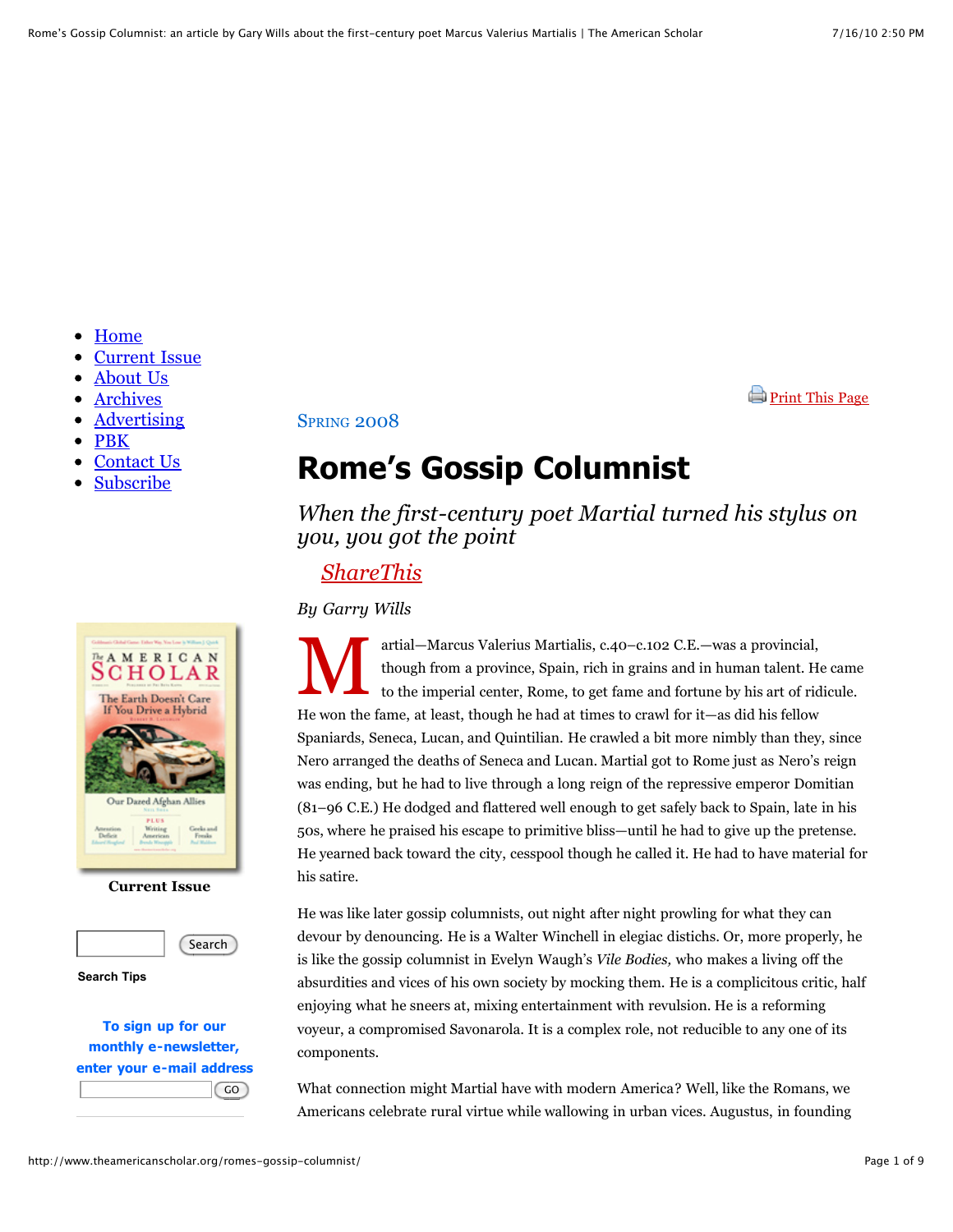**[Print This Page](http://www.theamericanscholar.org/romes-gossip-columnist/print/)** 

- [Home](http://www.theamericanscholar.org/)  $\bullet$
- [Current Issue](http://www.theamericanscholar.org/current-issue/)
- [About Us](http://www.theamericanscholar.org/about-us/)
- [Archives](http://www.theamericanscholar.org/archives/)
- [Advertising](http://www.theamericanscholar.org/zinsser/)
- [PBK](http://www.theamericanscholar.org/pbk/)
- [Contact Us](http://www.theamericanscholar.org/contact-us/)
- [Subscribe](https://ssl.drgnetwork.com/ecom/ams/cgi/subscribe/order?org=AMS&publ=AS)



#### **Current Issue**



**Search Tips**

**To sign up for our monthly e-newsletter, enter your e-mail address**  $\overline{GO}$ 

**SPRING 2008** 

# **Rome's Gossip Columnist**

*When the first-century poet Martial turned his stylus on you, you got the point*

### *[ShareThis](javascript:void(0))*

*By Garry Wills*

M artial—Marcus Valerius Martialis, c.40–c.102 C.E.—was a provincial, though from a province, Spain, rich in grains and in human talent. He came to the imperial center, Rome, to get fame and fortune by his art of ridicule. He won the fame, at least, though he had at times to crawl for it—as did his fellow Spaniards, Seneca, Lucan, and Quintilian. He crawled a bit more nimbly than they, since Nero arranged the deaths of Seneca and Lucan. Martial got to Rome just as Nero's reign was ending, but he had to live through a long reign of the repressive emperor Domitian (81–96 C.E.) He dodged and flattered well enough to get safely back to Spain, late in his 50s, where he praised his escape to primitive bliss—until he had to give up the pretense. He yearned back toward the city, cesspool though he called it. He had to have material for his satire.

He was like later gossip columnists, out night after night prowling for what they can devour by denouncing. He is a Walter Winchell in elegiac distichs. Or, more properly, he is like the gossip columnist in Evelyn Waugh's *Vile Bodies,* who makes a living off the absurdities and vices of his own society by mocking them. He is a complicitous critic, half enjoying what he sneers at, mixing entertainment with revulsion. He is a reforming voyeur, a compromised Savonarola. It is a complex role, not reducible to any one of its components.

What connection might Martial have with modern America? Well, like the Romans, we Americans celebrate rural virtue while wallowing in urban vices. Augustus, in founding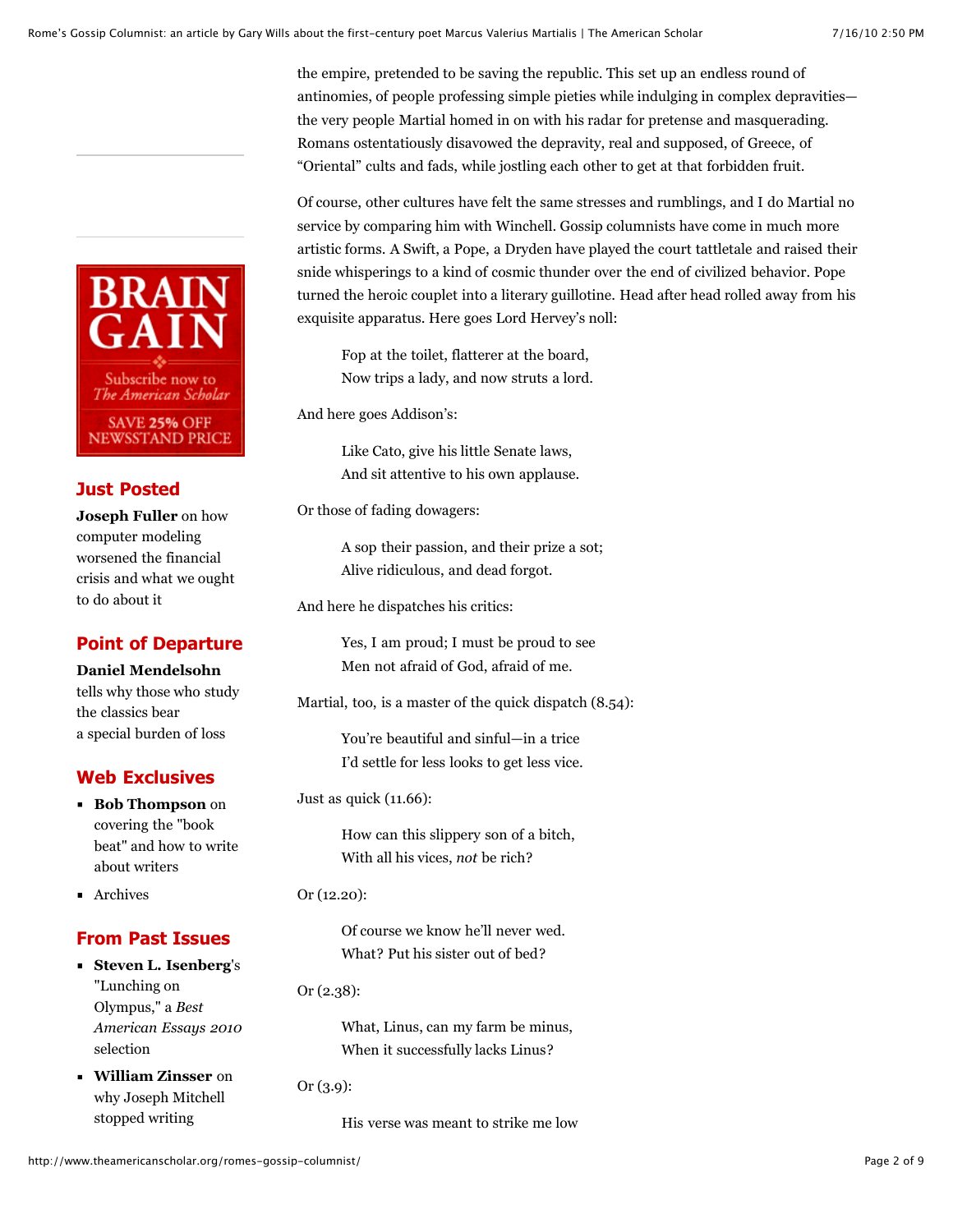the empire, pretended to be saving the republic. This set up an endless round of antinomies, of people professing simple pieties while indulging in complex depravities the very people Martial homed in on with his radar for pretense and masquerading. Romans ostentatiously disavowed the depravity, real and supposed, of Greece, of "Oriental" cults and fads, while jostling each other to get at that forbidden fruit.

Of course, other cultures have felt the same stresses and rumblings, and I do Martial no service by comparing him with Winchell. Gossip columnists have come in much more artistic forms. A Swift, a Pope, a Dryden have played the court tattletale and raised their snide whisperings to a kind of cosmic thunder over the end of civilized behavior. Pope turned the heroic couplet into a literary guillotine. Head after head rolled away from his exquisite apparatus. Here goes Lord Hervey's noll:

Fop at the toilet, flatterer at the board, Now trips a lady, and now struts a lord.

And here goes Addison's:

Like Cato, give his little Senate laws, And sit attentive to his own applause.

Or those of fading dowagers:

A sop their passion, and their prize a sot; Alive ridiculous, and dead forgot.

And here he dispatches his critics:

Yes, I am proud; I must be proud to see Men not afraid of God, afraid of me.

Martial, too, is a master of the quick dispatch (8.54):

You're beautiful and sinful—in a trice I'd settle for less looks to get less vice.

Just as quick (11.66):

How can this slippery son of a bitch, With all his vices, *not* be rich?

Or (12.20):

Of course we know he'll never wed. What? Put his sister out of bed?

Or (2.38):

What, Linus, can my farm be minus, When it successfully lacks Linus?

Or (3.9):

His verse was meant to strike me low



#### **Just Posted**

**Joseph Fuller** on how computer modeling worsened the financial [crisis and what we ought](http://www.theamericanscholar.org/the-terminator-comes-to-wall-street/) to do about it

#### **Point of Departure**

#### **Daniel Mendelsohn**

[tells why those who study](http://www.theamericanscholar.org/lost-classics/) the classics bear a special burden of loss

#### **Web Exclusives**

- **Bob Thompson** on covering the "book [beat" and how to write](http://www.theamericanscholar.org/writing-about-writers/) about writers
- **[Archives](http://www.theamericanscholar.org/category/web-exclusive/)**

#### **From Past Issues**

- **Steven L. Isenberg**'s "Lunching on Olympus," a *Best [American Essays 2010](http://www.theamericanscholar.org/lunching-on-olympus/)* selection
- **William Zinsser** on [why Joseph Mitchell](http://www.theamericanscholar.org/journeys-with-joseph-mitchell/)  stopped writing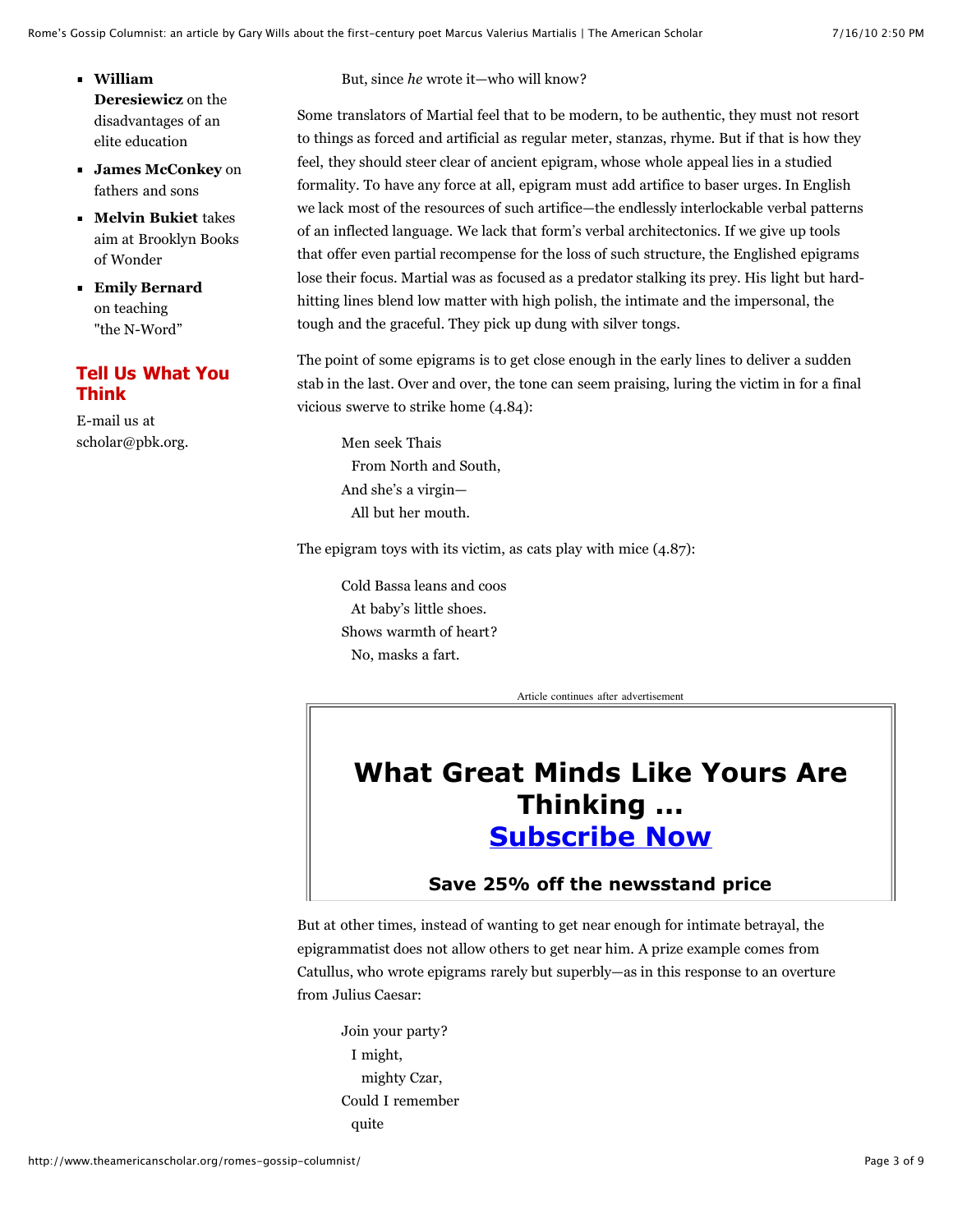- **William Deresiewicz** on the [disadvantages of an](http://www.theamericanscholar.org/the-disadvantages-of-an-elite-education/) elite education
- **[James McConkey](http://www.theamericanscholar.org/what-kind-of-father-am-i/)** on fathers and sons
- **Melvin Bukiet** takes [aim at Brooklyn Books](http://www.theamericanscholar.org/wonder-bread/) of Wonder
- **[Emily Bernard](http://www.theamericanscholar.org/teaching-the-n-word/)** on teaching "the N-Word"

#### **Tell Us What You Think**

E-mail us at [scholar@pbk.org.](mailto:scholar@pbk.org) But, since *he* wrote it—who will know?

Some translators of Martial feel that to be modern, to be authentic, they must not resort to things as forced and artificial as regular meter, stanzas, rhyme. But if that is how they feel, they should steer clear of ancient epigram, whose whole appeal lies in a studied formality. To have any force at all, epigram must add artifice to baser urges. In English we lack most of the resources of such artifice—the endlessly interlockable verbal patterns of an inflected language. We lack that form's verbal architectonics. If we give up tools that offer even partial recompense for the loss of such structure, the Englished epigrams lose their focus. Martial was as focused as a predator stalking its prey. His light but hardhitting lines blend low matter with high polish, the intimate and the impersonal, the tough and the graceful. They pick up dung with silver tongs.

The point of some epigrams is to get close enough in the early lines to deliver a sudden stab in the last. Over and over, the tone can seem praising, luring the victim in for a final vicious swerve to strike home (4.84):

Men seek Thais From North and South, And she's a virgin— All but her mouth.

The epigram toys with its victim, as cats play with mice (4.87):

Cold Bassa leans and coos At baby's little shoes. Shows warmth of heart? No, masks a fart.

Article continues after advertisement

## **What Great Minds Like Yours Are Thinking ... [Subscribe Now](https://ssl.drgnetwork.com/ecom/ams/cgi/subscribe/order?org=AMS&publ=AS)**

#### **Save 25% off the newsstand price**

But at other times, instead of wanting to get near enough for intimate betrayal, the epigrammatist does not allow others to get near him. A prize example comes from Catullus, who wrote epigrams rarely but superbly—as in this response to an overture from Julius Caesar:

Join your party? I might, mighty Czar, Could I remember quite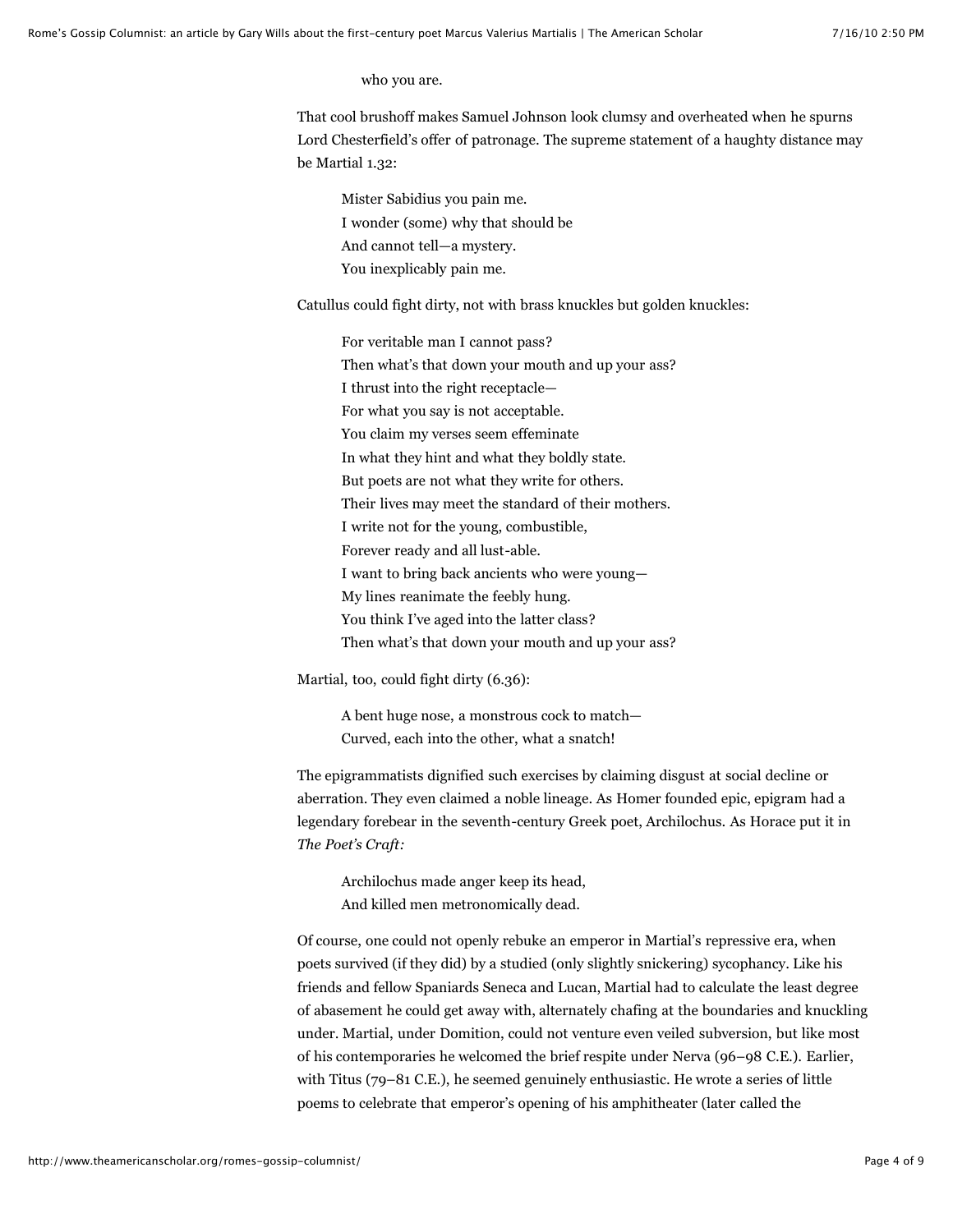who you are.

That cool brushoff makes Samuel Johnson look clumsy and overheated when he spurns Lord Chesterfield's offer of patronage. The supreme statement of a haughty distance may be Martial 1.32:

Mister Sabidius you pain me. I wonder (some) why that should be And cannot tell—a mystery. You inexplicably pain me.

Catullus could fight dirty, not with brass knuckles but golden knuckles:

For veritable man I cannot pass? Then what's that down your mouth and up your ass? I thrust into the right receptacle— For what you say is not acceptable. You claim my verses seem effeminate In what they hint and what they boldly state. But poets are not what they write for others. Their lives may meet the standard of their mothers. I write not for the young, combustible, Forever ready and all lust-able. I want to bring back ancients who were young— My lines reanimate the feebly hung. You think I've aged into the latter class? Then what's that down your mouth and up your ass?

Martial, too, could fight dirty (6.36):

A bent huge nose, a monstrous cock to match— Curved, each into the other, what a snatch!

The epigrammatists dignified such exercises by claiming disgust at social decline or aberration. They even claimed a noble lineage. As Homer founded epic, epigram had a legendary forebear in the seventh-century Greek poet, Archilochus. As Horace put it in *The Poet's Craft:*

Archilochus made anger keep its head, And killed men metronomically dead.

Of course, one could not openly rebuke an emperor in Martial's repressive era, when poets survived (if they did) by a studied (only slightly snickering) sycophancy. Like his friends and fellow Spaniards Seneca and Lucan, Martial had to calculate the least degree of abasement he could get away with, alternately chafing at the boundaries and knuckling under. Martial, under Domition, could not venture even veiled subversion, but like most of his contemporaries he welcomed the brief respite under Nerva (96–98 C.E.). Earlier, with Titus (79–81 C.E.), he seemed genuinely enthusiastic. He wrote a series of little poems to celebrate that emperor's opening of his amphitheater (later called the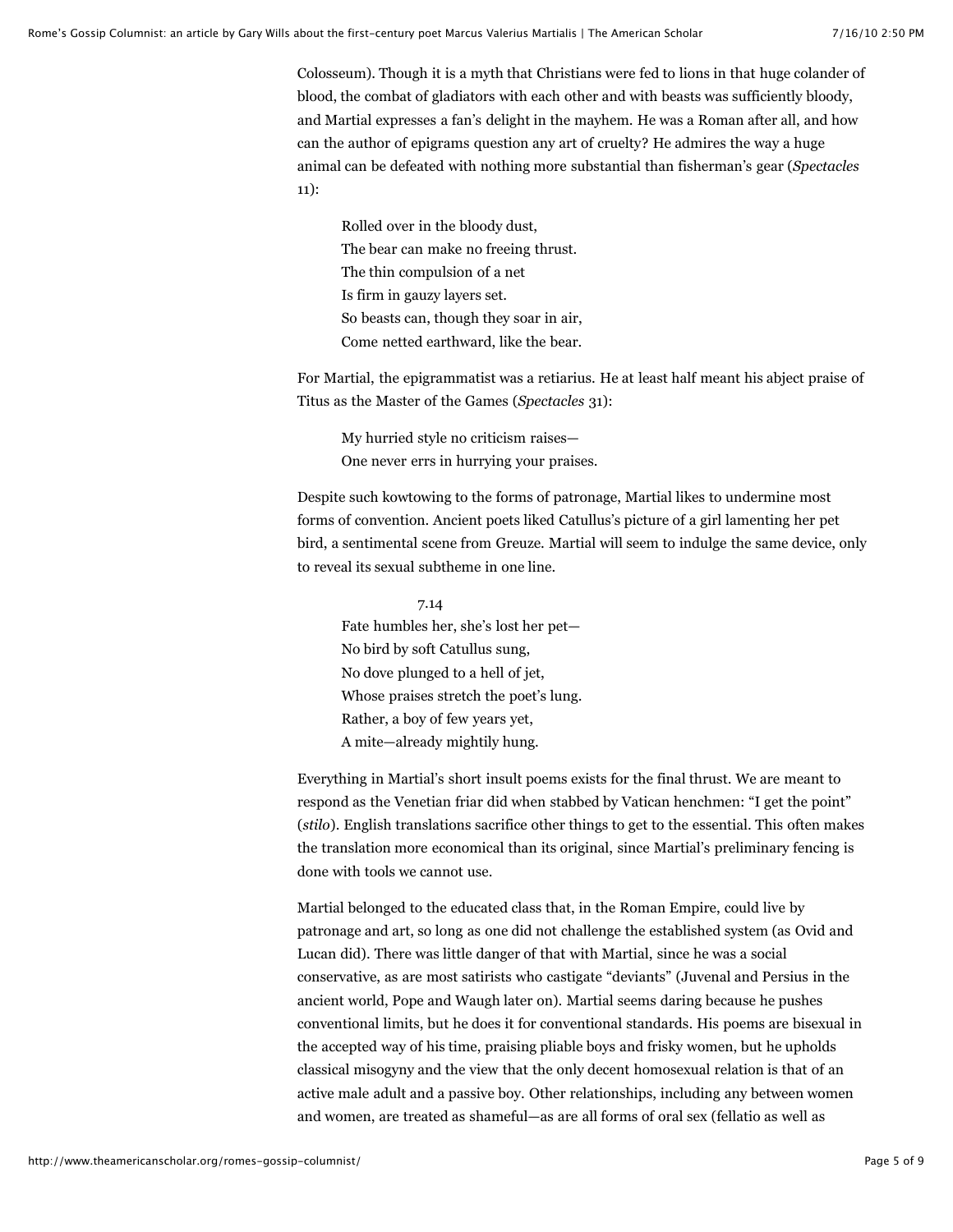Colosseum). Though it is a myth that Christians were fed to lions in that huge colander of blood, the combat of gladiators with each other and with beasts was sufficiently bloody, and Martial expresses a fan's delight in the mayhem. He was a Roman after all, and how can the author of epigrams question any art of cruelty? He admires the way a huge animal can be defeated with nothing more substantial than fisherman's gear (*Spectacles* 11):

Rolled over in the bloody dust, The bear can make no freeing thrust. The thin compulsion of a net Is firm in gauzy layers set. So beasts can, though they soar in air, Come netted earthward, like the bear.

For Martial, the epigrammatist was a retiarius. He at least half meant his abject praise of Titus as the Master of the Games (*Spectacles* 31):

My hurried style no criticism raises— One never errs in hurrying your praises.

Despite such kowtowing to the forms of patronage, Martial likes to undermine most forms of convention. Ancient poets liked Catullus's picture of a girl lamenting her pet bird, a sentimental scene from Greuze. Martial will seem to indulge the same device, only to reveal its sexual subtheme in one line.

 7.14 Fate humbles her, she's lost her pet— No bird by soft Catullus sung, No dove plunged to a hell of jet, Whose praises stretch the poet's lung. Rather, a boy of few years yet, A mite—already mightily hung.

Everything in Martial's short insult poems exists for the final thrust. We are meant to respond as the Venetian friar did when stabbed by Vatican henchmen: "I get the point" (*stilo*). English translations sacrifice other things to get to the essential. This often makes the translation more economical than its original, since Martial's preliminary fencing is done with tools we cannot use.

Martial belonged to the educated class that, in the Roman Empire, could live by patronage and art, so long as one did not challenge the established system (as Ovid and Lucan did). There was little danger of that with Martial, since he was a social conservative, as are most satirists who castigate "deviants" (Juvenal and Persius in the ancient world, Pope and Waugh later on). Martial seems daring because he pushes conventional limits, but he does it for conventional standards. His poems are bisexual in the accepted way of his time, praising pliable boys and frisky women, but he upholds classical misogyny and the view that the only decent homosexual relation is that of an active male adult and a passive boy. Other relationships, including any between women and women, are treated as shameful—as are all forms of oral sex (fellatio as well as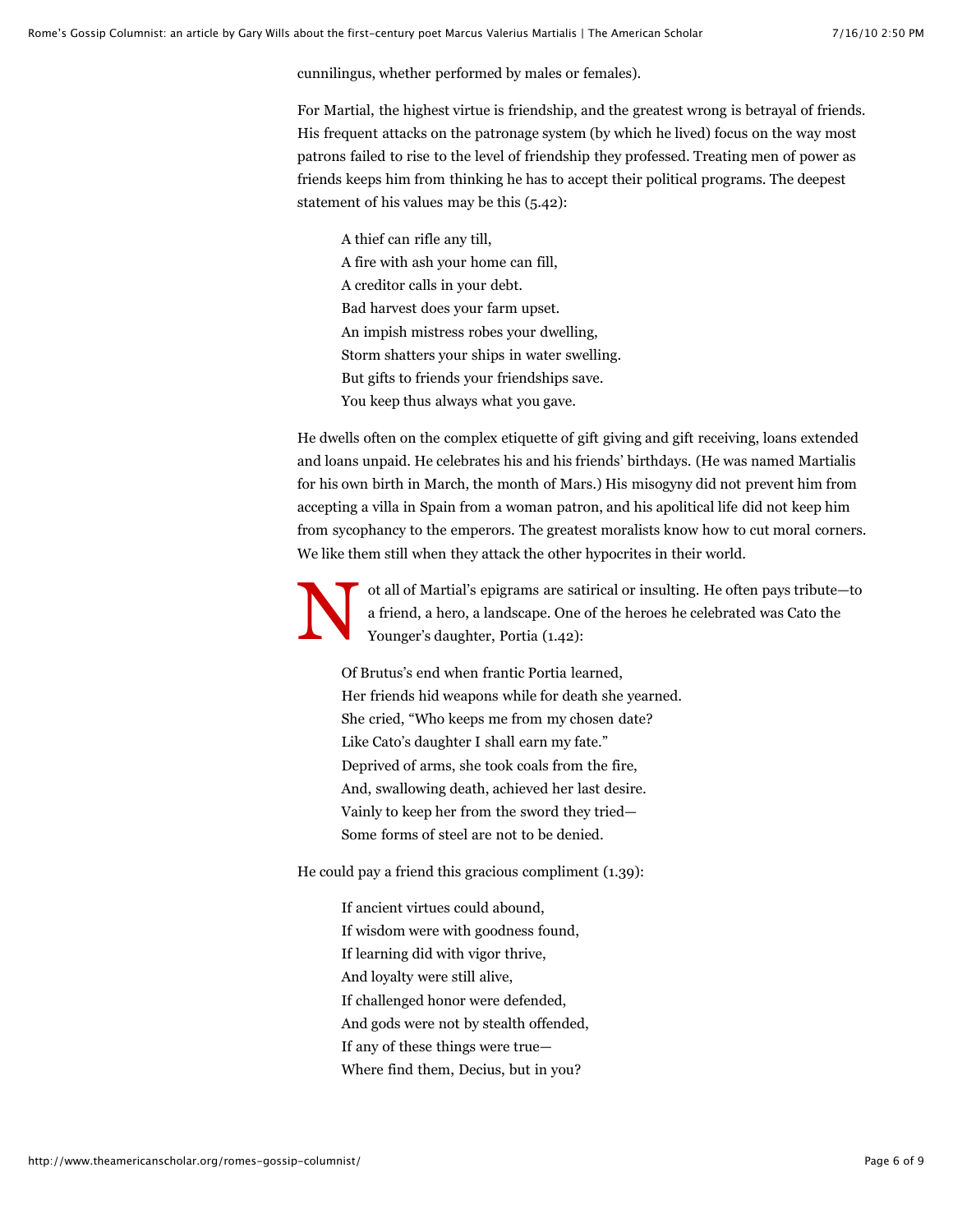cunnilingus, whether performed by males or females).

For Martial, the highest virtue is friendship, and the greatest wrong is betrayal of friends. His frequent attacks on the patronage system (by which he lived) focus on the way most patrons failed to rise to the level of friendship they professed. Treating men of power as friends keeps him from thinking he has to accept their political programs. The deepest statement of his values may be this (5.42):

A thief can rifle any till, A fire with ash your home can fill, A creditor calls in your debt. Bad harvest does your farm upset. An impish mistress robes your dwelling, Storm shatters your ships in water swelling. But gifts to friends your friendships save. You keep thus always what you gave.

He dwells often on the complex etiquette of gift giving and gift receiving, loans extended and loans unpaid. He celebrates his and his friends' birthdays. (He was named Martialis for his own birth in March, the month of Mars.) His misogyny did not prevent him from accepting a villa in Spain from a woman patron, and his apolitical life did not keep him from sycophancy to the emperors. The greatest moralists know how to cut moral corners. We like them still when they attack the other hypocrites in their world.

N ot all of Martial's epigrams are satirical or insulting. He often pays tribute—to a friend, a hero, a landscape. One of the heroes he celebrated was Cato the Younger's daughter, Portia (1.42):

Of Brutus's end when frantic Portia learned, Her friends hid weapons while for death she yearned. She cried, "Who keeps me from my chosen date? Like Cato's daughter I shall earn my fate." Deprived of arms, she took coals from the fire, And, swallowing death, achieved her last desire. Vainly to keep her from the sword they tried— Some forms of steel are not to be denied.

He could pay a friend this gracious compliment (1.39):

If ancient virtues could abound, If wisdom were with goodness found, If learning did with vigor thrive, And loyalty were still alive, If challenged honor were defended, And gods were not by stealth offended, If any of these things were true— Where find them, Decius, but in you?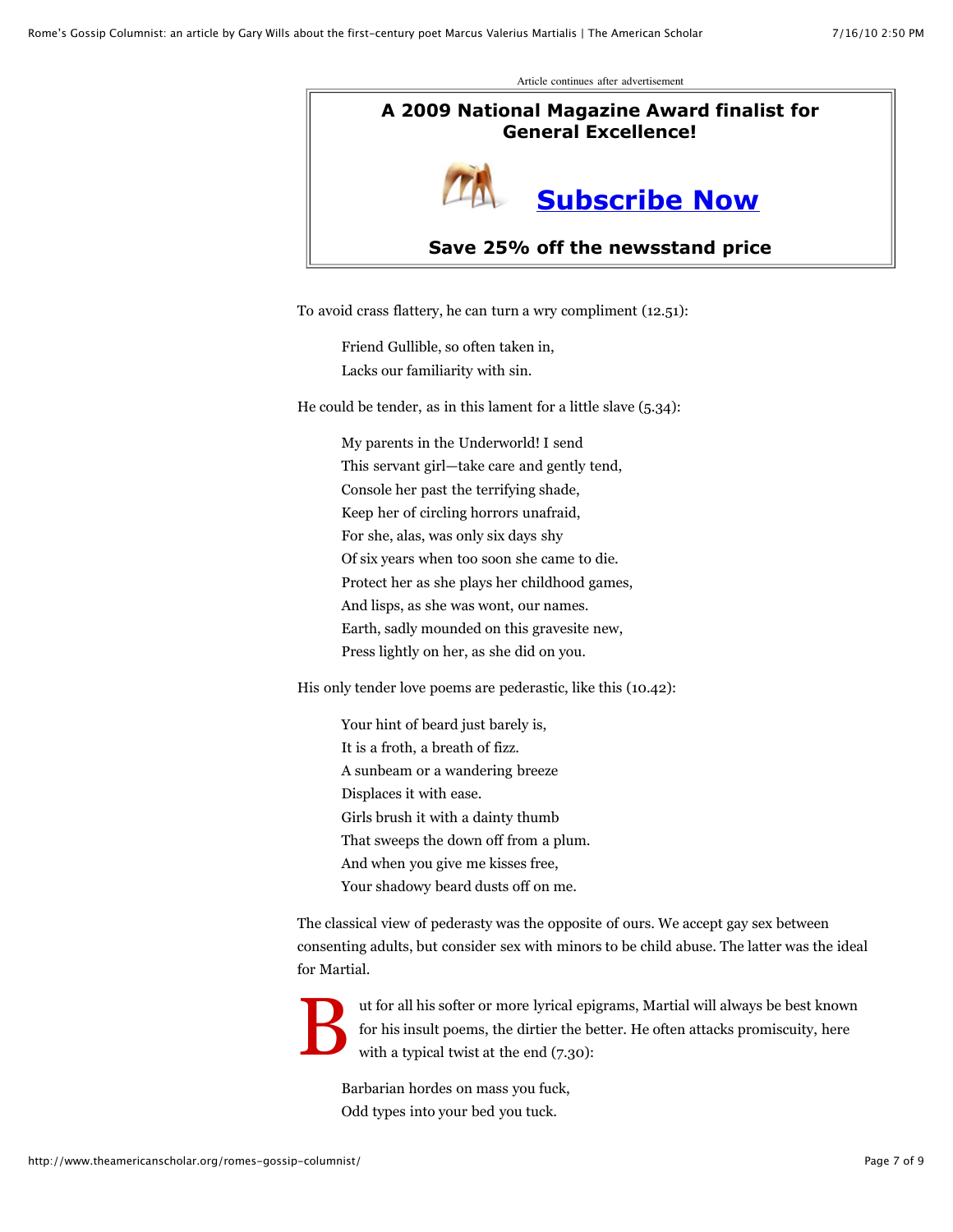Article continues after advertisement

## **A 2009 National Magazine Award finalist for General Excellence!**



#### **Save 25% off the newsstand price**

To avoid crass flattery, he can turn a wry compliment (12.51):

Friend Gullible, so often taken in, Lacks our familiarity with sin.

He could be tender, as in this lament for a little slave (5.34):

My parents in the Underworld! I send This servant girl—take care and gently tend, Console her past the terrifying shade, Keep her of circling horrors unafraid, For she, alas, was only six days shy Of six years when too soon she came to die. Protect her as she plays her childhood games, And lisps, as she was wont, our names. Earth, sadly mounded on this gravesite new, Press lightly on her, as she did on you.

His only tender love poems are pederastic, like this (10.42):

Your hint of beard just barely is, It is a froth, a breath of fizz. A sunbeam or a wandering breeze Displaces it with ease. Girls brush it with a dainty thumb That sweeps the down off from a plum. And when you give me kisses free, Your shadowy beard dusts off on me.

The classical view of pederasty was the opposite of ours. We accept gay sex between consenting adults, but consider sex with minors to be child abuse. The latter was the ideal for Martial.

B ut for all his softer or more lyrical epigrams, Martial will always be best known for his insult poems, the dirtier the better. He often attacks promiscuity, here with a typical twist at the end (7.30):

Barbarian hordes on mass you fuck, Odd types into your bed you tuck.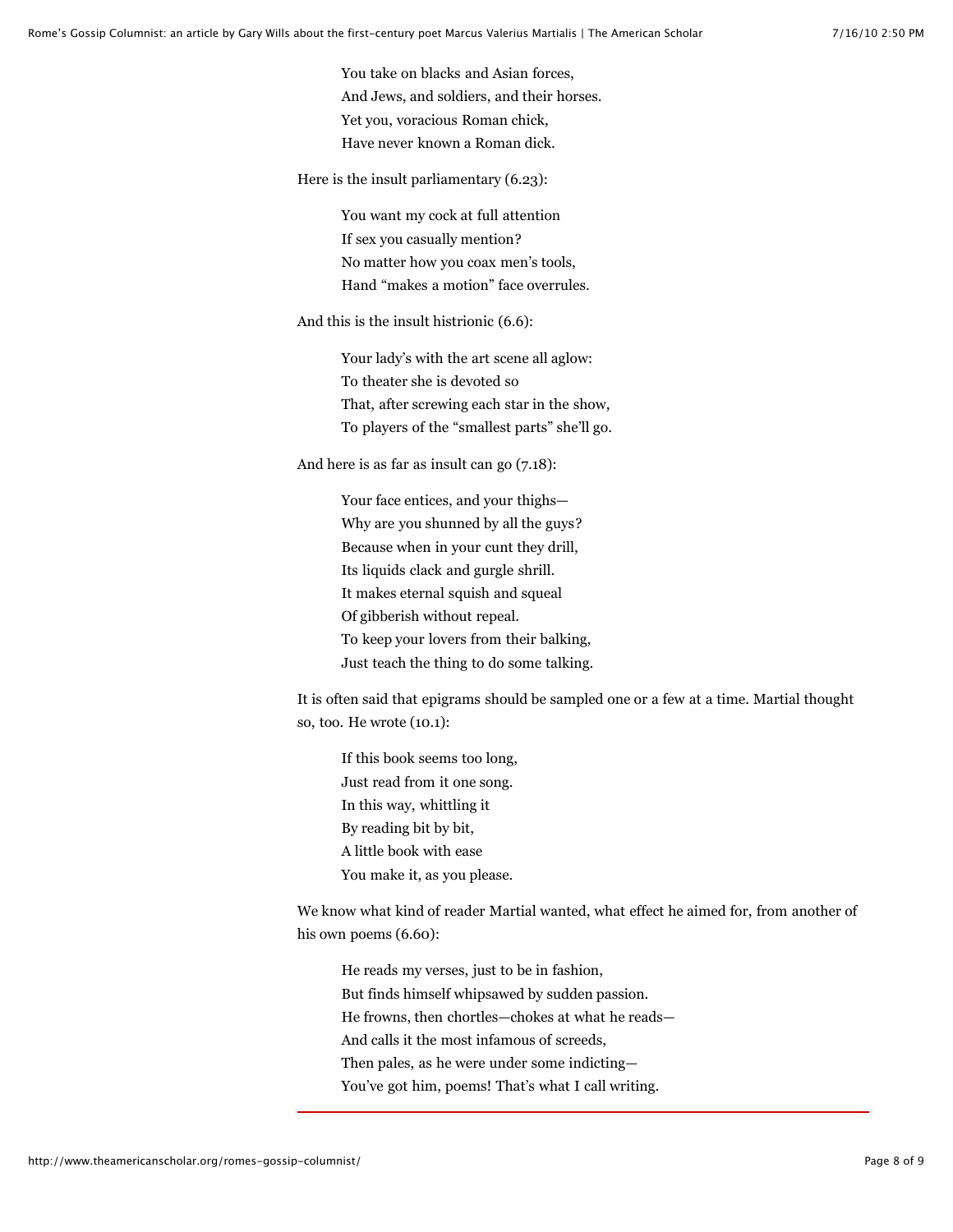You take on blacks and Asian forces, And Jews, and soldiers, and their horses. Yet you, voracious Roman chick, Have never known a Roman dick.

Here is the insult parliamentary (6.23):

You want my cock at full attention If sex you casually mention? No matter how you coax men's tools, Hand "makes a motion" face overrules.

And this is the insult histrionic (6.6):

Your lady's with the art scene all aglow: To theater she is devoted so That, after screwing each star in the show, To players of the "smallest parts" she'll go.

And here is as far as insult can go (7.18):

Your face entices, and your thighs— Why are you shunned by all the guys? Because when in your cunt they drill, Its liquids clack and gurgle shrill. It makes eternal squish and squeal Of gibberish without repeal. To keep your lovers from their balking, Just teach the thing to do some talking.

It is often said that epigrams should be sampled one or a few at a time. Martial thought so, too. He wrote (10.1):

If this book seems too long, Just read from it one song. In this way, whittling it By reading bit by bit, A little book with ease You make it, as you please.

We know what kind of reader Martial wanted, what effect he aimed for, from another of his own poems  $(6.60)$ :

He reads my verses, just to be in fashion, But finds himself whipsawed by sudden passion. He frowns, then chortles—chokes at what he reads— And calls it the most infamous of screeds, Then pales, as he were under some indicting— You've got him, poems! That's what I call writing.